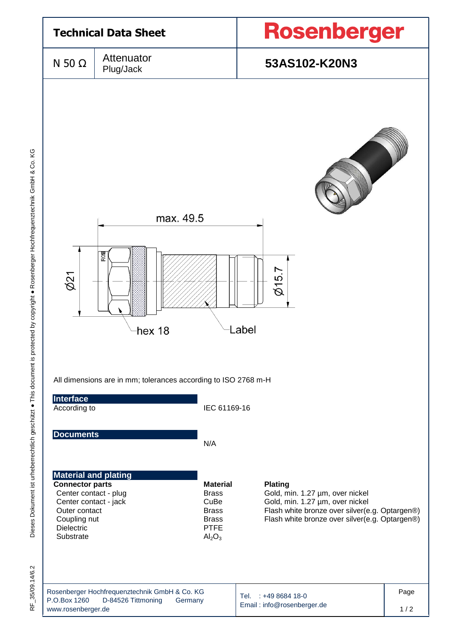

35/09.14/6.2 RF\_35/09.14/6.2 눈